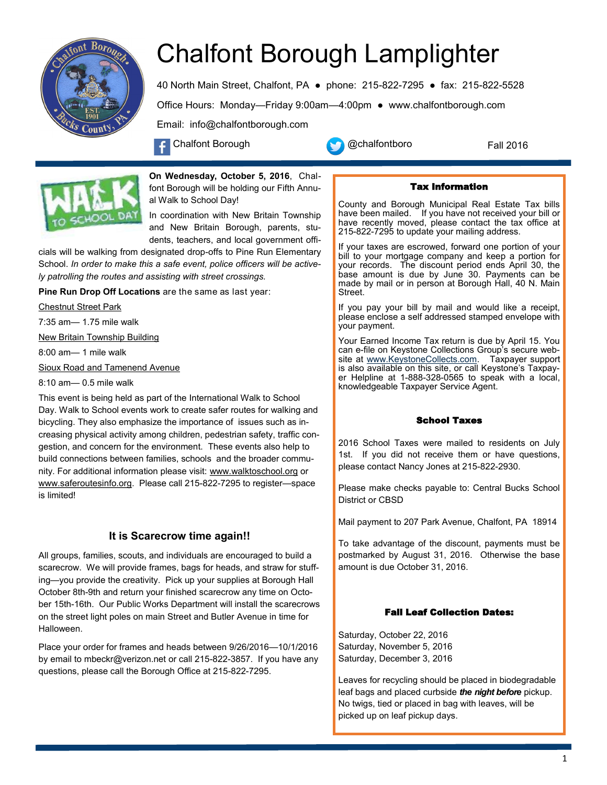

# Chalfont Borough Lamplighter

40 North Main Street, Chalfont, PA ● phone: 215-822-7295 ● fax: 215-822-5528 Office Hours: Monday—Friday 9:00am—4:00pm ● www.chalfontborough.com Email: info@chalfontborough.com

Chalfont Borough **Chalfontboro** 

Fall 2016



**On Wednesday, October 5, 2016**, Chalfont Borough will be holding our Fifth Annual Walk to School Day!

In coordination with New Britain Township and New Britain Borough, parents, students, teachers, and local government offi-

cials will be walking from designated drop-offs to Pine Run Elementary School. *In order to make this a safe event, police officers will be actively patrolling the routes and assisting with street crossings.* 

**Pine Run Drop Off Locations** are the same as last year:

Chestnut Street Park

7:35 am— 1.75 mile walk

New Britain Township Building

8:00 am— 1 mile walk

Sioux Road and Tamenend Avenue

8:10 am— 0.5 mile walk

This event is being held as part of the International Walk to School Day. Walk to School events work to create safer routes for walking and bicycling. They also emphasize the importance of issues such as increasing physical activity among children, pedestrian safety, traffic congestion, and concern for the environment. These events also help to build connections between families, schools and the broader community. For additional information please visit: www.walktoschool.org or www.saferoutesinfo.org. Please call 215-822-7295 to register—space is limited!

# **It is Scarecrow time again!!**

All groups, families, scouts, and individuals are encouraged to build a scarecrow. We will provide frames, bags for heads, and straw for stuffing—you provide the creativity. Pick up your supplies at Borough Hall October 8th-9th and return your finished scarecrow any time on October 15th-16th. Our Public Works Department will install the scarecrows on the street light poles on main Street and Butler Avenue in time for Halloween.

Place your order for frames and heads between 9/26/2016—10/1/2016 by email to mbeckr@verizon.net or call 215-822-3857. If you have any questions, please call the Borough Office at 215-822-7295.

# Tax Information

County and Borough Municipal Real Estate Tax bills have been mailed. If you have not received your bill or have recently moved, please contact the tax office at 215-822-7295 to update your mailing address.

If your taxes are escrowed, forward one portion of your bill to your mortgage company and keep a portion for your records. The discount period ends April 30, the base amount is due by June 30. Payments can be made by mail or in person at Borough Hall, 40 N. Main Street.

If you pay your bill by mail and would like a receipt, please enclose a self addressed stamped envelope with your payment.

Your Earned Income Tax return is due by April 15. You can e-file on Keystone Collections Group's secure web-<br>site at www.KeystoneCollects.com. Taxpayer support site at www.KeystoneCollects.com. is also available on this site, or call Keystone's Taxpayer Helpline at 1-888-328-0565 to speak with a local, knowledgeable Taxpayer Service Agent.

# School Taxes

2016 School Taxes were mailed to residents on July 1st. If you did not receive them or have questions, please contact Nancy Jones at 215-822-2930.

Please make checks payable to: Central Bucks School District or CBSD

Mail payment to 207 Park Avenue, Chalfont, PA 18914

To take advantage of the discount, payments must be postmarked by August 31, 2016. Otherwise the base amount is due October 31, 2016.

# Fall Leaf Collection Dates:

Saturday, October 22, 2016 Saturday, November 5, 2016 Saturday, December 3, 2016

Leaves for recycling should be placed in biodegradable leaf bags and placed curbside *the night before* pickup. No twigs, tied or placed in bag with leaves, will be picked up on leaf pickup days.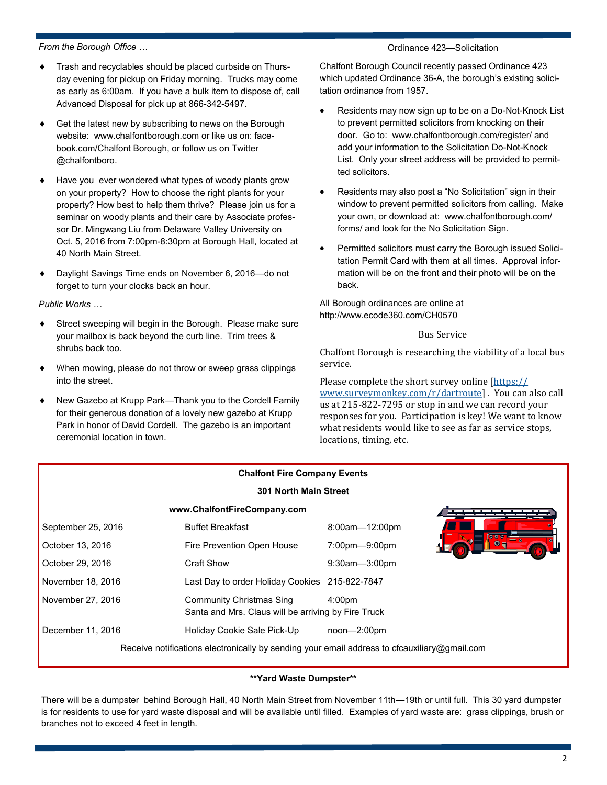#### *From the Borough Office …*

## Ordinance 423—Solicitation

- Trash and recyclables should be placed curbside on Thursday evening for pickup on Friday morning. Trucks may come as early as 6:00am. If you have a bulk item to dispose of, call Advanced Disposal for pick up at 866-342-5497.
- Get the latest new by subscribing to news on the Borough website: www.chalfontborough.com or like us on: facebook.com/Chalfont Borough, or follow us on Twitter @chalfontboro.
- Have you ever wondered what types of woody plants grow on your property? How to choose the right plants for your property? How best to help them thrive? Please join us for a seminar on woody plants and their care by Associate professor Dr. Mingwang Liu from Delaware Valley University on Oct. 5, 2016 from 7:00pm-8:30pm at Borough Hall, located at 40 North Main Street.
- Daylight Savings Time ends on November 6, 2016—do not forget to turn your clocks back an hour.

#### *Public Works …*

- Street sweeping will begin in the Borough. Please make sure your mailbox is back beyond the curb line. Trim trees & shrubs back too.
- When mowing, please do not throw or sweep grass clippings into the street.
- New Gazebo at Krupp Park—Thank you to the Cordell Family for their generous donation of a lovely new gazebo at Krupp Park in honor of David Cordell. The gazebo is an important ceremonial location in town.

Chalfont Borough Council recently passed Ordinance 423 which updated Ordinance 36-A, the borough's existing solicitation ordinance from 1957.

- Residents may now sign up to be on a Do-Not-Knock List to prevent permitted solicitors from knocking on their door. Go to: www.chalfontborough.com/register/ and add your information to the Solicitation Do-Not-Knock List. Only your street address will be provided to permitted solicitors.
- Residents may also post a "No Solicitation" sign in their window to prevent permitted solicitors from calling. Make your own, or download at: www.chalfontborough.com/ forms/ and look for the No Solicitation Sign.
- Permitted solicitors must carry the Borough issued Solicitation Permit Card with them at all times. Approval information will be on the front and their photo will be on the back.

All Borough ordinances are online at http://www.ecode360.com/CH0570

#### Bus Service

Chalfont Borough is researching the viability of a local bus service.

Please complete the short survey online [\[https://](https://www.surveymonkey.com/r/dartroute) [www.surveymonkey.com/r/dartroute\]](https://www.surveymonkey.com/r/dartroute) . You can also call us at 215-822-7295 or stop in and we can record your responses for you. Participation is key! We want to know what residents would like to see as far as service stops, locations, timing, etc.

|                    | <b>Chalfont Fire Company Events</b>                                                          |                    |  |
|--------------------|----------------------------------------------------------------------------------------------|--------------------|--|
|                    | <b>301 North Main Street</b>                                                                 |                    |  |
|                    | www.ChalfontFireCompany.com                                                                  |                    |  |
| September 25, 2016 | <b>Buffet Breakfast</b>                                                                      | 8:00am-12:00pm     |  |
| October 13, 2016   | Fire Prevention Open House                                                                   | 7:00pm-9:00pm      |  |
| October 29, 2016   | <b>Craft Show</b>                                                                            | 9:30am-3:00pm      |  |
| November 18, 2016  | Last Day to order Holiday Cookies 215-822-7847                                               |                    |  |
| November 27, 2016  | <b>Community Christmas Sing</b><br>Santa and Mrs. Claus will be arriving by Fire Truck       | 4:00 <sub>pm</sub> |  |
| December 11, 2016  | Holiday Cookie Sale Pick-Up                                                                  | $noon - 2:00pm$    |  |
|                    | Receive notifications electronically by sending your email address to cfcauxiliary@gmail.com |                    |  |

## **\*\*Yard Waste Dumpster\*\***

There will be a dumpster behind Borough Hall, 40 North Main Street from November 11th—19th or until full. This 30 yard dumpster is for residents to use for yard waste disposal and will be available until filled. Examples of yard waste are: grass clippings, brush or branches not to exceed 4 feet in length.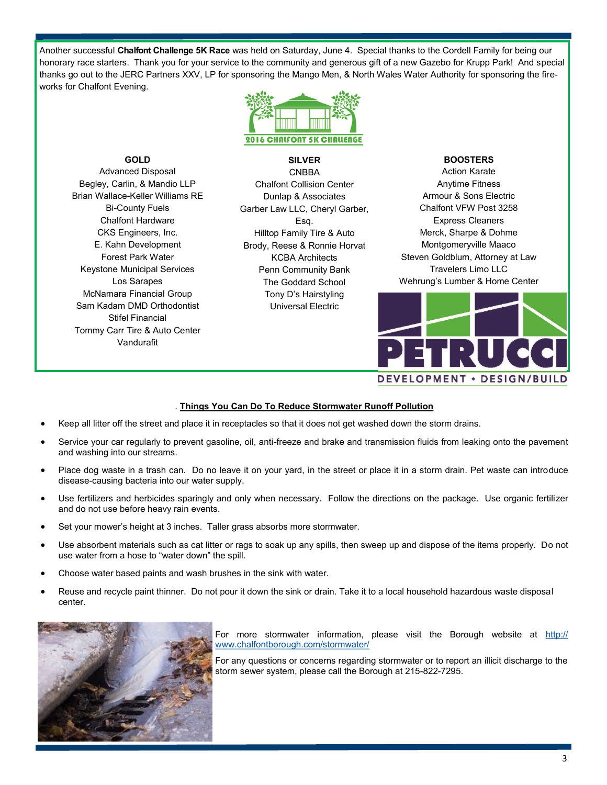Another successful **Chalfont Challenge 5K Race** was held on Saturday, June 4. Special thanks to the Cordell Family for being our honorary race starters. Thank you for your service to the community and generous gift of a new Gazebo for Krupp Park! And special thanks go out to the JERC Partners XXV, LP for sponsoring the Mango Men, & North Wales Water Authority for sponsoring the fireworks for Chalfont Evening.



**GOLD**  Advanced Disposal Begley, Carlin, & Mandio LLP Brian Wallace-Keller Williams RE Bi-County Fuels Chalfont Hardware CKS Engineers, Inc. E. Kahn Development Forest Park Water Keystone Municipal Services Los Sarapes McNamara Financial Group Sam Kadam DMD Orthodontist Stifel Financial Tommy Carr Tire & Auto Center Vandurafit

**SILVER**  CNBBA Chalfont Collision Center Dunlap & Associates Garber Law LLC, Cheryl Garber, Esq. Hilltop Family Tire & Auto Brody, Reese & Ronnie Horvat KCBA Architects Penn Community Bank The Goddard School Tony D's Hairstyling Universal Electric

## **BOOSTERS**

Action Karate Anytime Fitness Armour & Sons Electric Chalfont VFW Post 3258 Express Cleaners Merck, Sharpe & Dohme Montgomeryville Maaco Steven Goldblum, Attorney at Law Travelers Limo LLC Wehrung's Lumber & Home Center



# . **Things You Can Do To Reduce Stormwater Runoff Pollution**

- Keep all litter off the street and place it in receptacles so that it does not get washed down the storm drains.
- Service your car regularly to prevent gasoline, oil, anti-freeze and brake and transmission fluids from leaking onto the pavement and washing into our streams.
- Place dog waste in a trash can. Do no leave it on your yard, in the street or place it in a storm drain. Pet waste can introduce disease-causing bacteria into our water supply.
- Use fertilizers and herbicides sparingly and only when necessary. Follow the directions on the package. Use organic fertilizer and do not use before heavy rain events.
- Set your mower's height at 3 inches. Taller grass absorbs more stormwater.
- Use absorbent materials such as cat litter or rags to soak up any spills, then sweep up and dispose of the items properly. Do not use water from a hose to "water down" the spill.
- Choose water based paints and wash brushes in the sink with water.
- Reuse and recycle paint thinner. Do not pour it down the sink or drain. Take it to a local household hazardous waste disposal center.



For more stormwater information, please visit the Borough website at [http://](http://www.chalfontborough.com/stormwater/) [www.chalfontborough.com/stormwater/](http://www.chalfontborough.com/stormwater/)

For any questions or concerns regarding stormwater or to report an illicit discharge to the storm sewer system, please call the Borough at 215-822-7295.